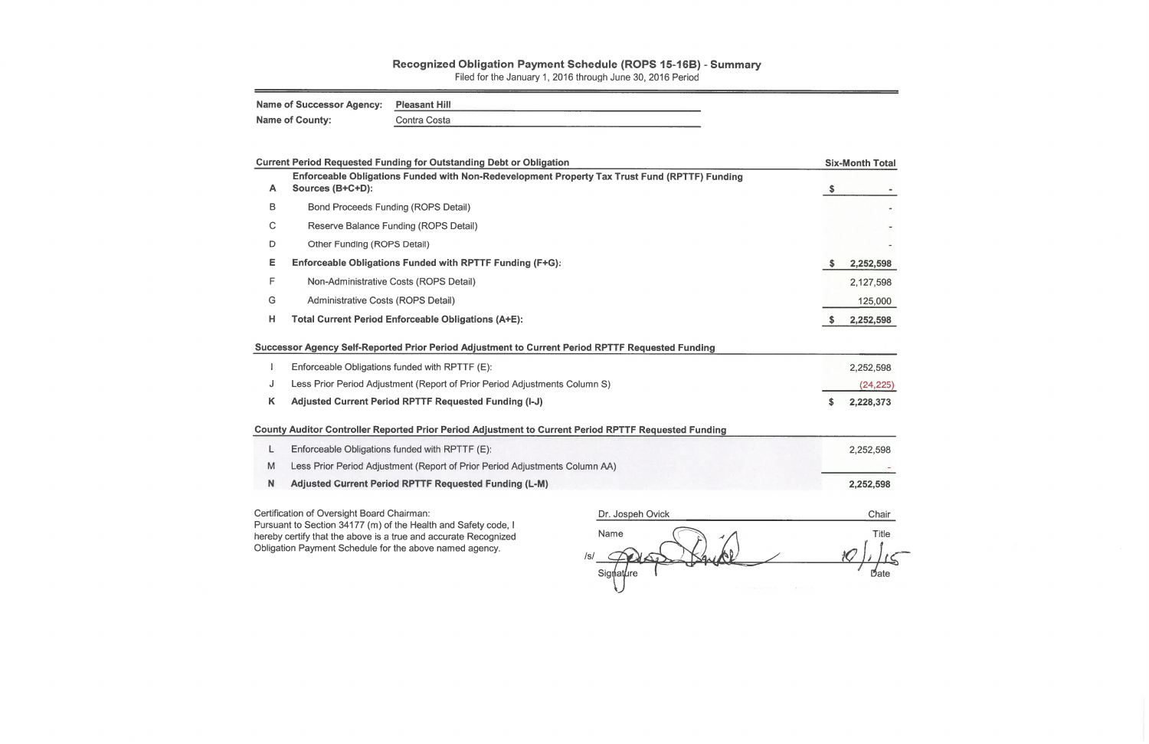## Recognized Obligation Payment Schedule (ROPS 15-16B) - Summary

Filed for the January 1, 2016 through June 30, 2016 Period

| Name of Successor Agency: Pleasant Hill |              |
|-----------------------------------------|--------------|
| <b>Name of County:</b>                  | Contra Costa |

|              | <b>Current Period Requested Funding for Outstanding Debt or Obligation</b>                                        | <b>Six-Month Total</b>    |
|--------------|-------------------------------------------------------------------------------------------------------------------|---------------------------|
| A            | Enforceable Obligations Funded with Non-Redevelopment Property Tax Trust Fund (RPTTF) Funding<br>Sources (B+C+D): | $\boldsymbol{\mathsf{s}}$ |
| B            | <b>Bond Proceeds Funding (ROPS Detail)</b>                                                                        |                           |
| $\mathsf{C}$ | Reserve Balance Funding (ROPS Detail)                                                                             |                           |
| D            | Other Funding (ROPS Detail)                                                                                       |                           |
| Е            | Enforceable Obligations Funded with RPTTF Funding (F+G):                                                          | 2,252,598<br>S            |
| F            | Non-Administrative Costs (ROPS Detail)                                                                            | 2,127,598                 |
| G            | Administrative Costs (ROPS Detail)                                                                                | 125,000                   |
| н            | <b>Total Current Period Enforceable Obligations (A+E):</b>                                                        | 2,252,598                 |
|              | Successor Agency Self-Reported Prior Period Adjustment to Current Period RPTTF Requested Funding                  |                           |
|              | Enforceable Obligations funded with RPTTF (E):                                                                    | 2,252,598                 |
| J            | Less Prior Period Adjustment (Report of Prior Period Adjustments Column S)                                        | (24, 225)                 |
| Κ            | Adjusted Current Period RPTTF Requested Funding (I-J)                                                             | 2,228,373<br>S.           |
|              | County Auditor Controller Reported Prior Period Adjustment to Current Period RPTTF Requested Funding              |                           |
| L            | Enforceable Obligations funded with RPTTF (E):                                                                    | 2,252,598                 |
| M            | Less Prior Period Adjustment (Report of Prior Period Adjustments Column AA)                                       |                           |
| N.           | <b>Adjusted Current Period RPTTF Requested Funding (L-M)</b>                                                      | 2,252,598                 |

- 
- 
- Adjusted Current Period RPT IT Requested Funding (L-M)

Certification of Oversight Board Chairman:

Pursuant to Section 34177 (m) of the Health and Safety code, I hereby certify that the above is a true and accurate Recognized Obligation Payment Schedule for the above named agency.

Dr. Jospeh Ovick Chair Name Title /s/  $Signature$ Date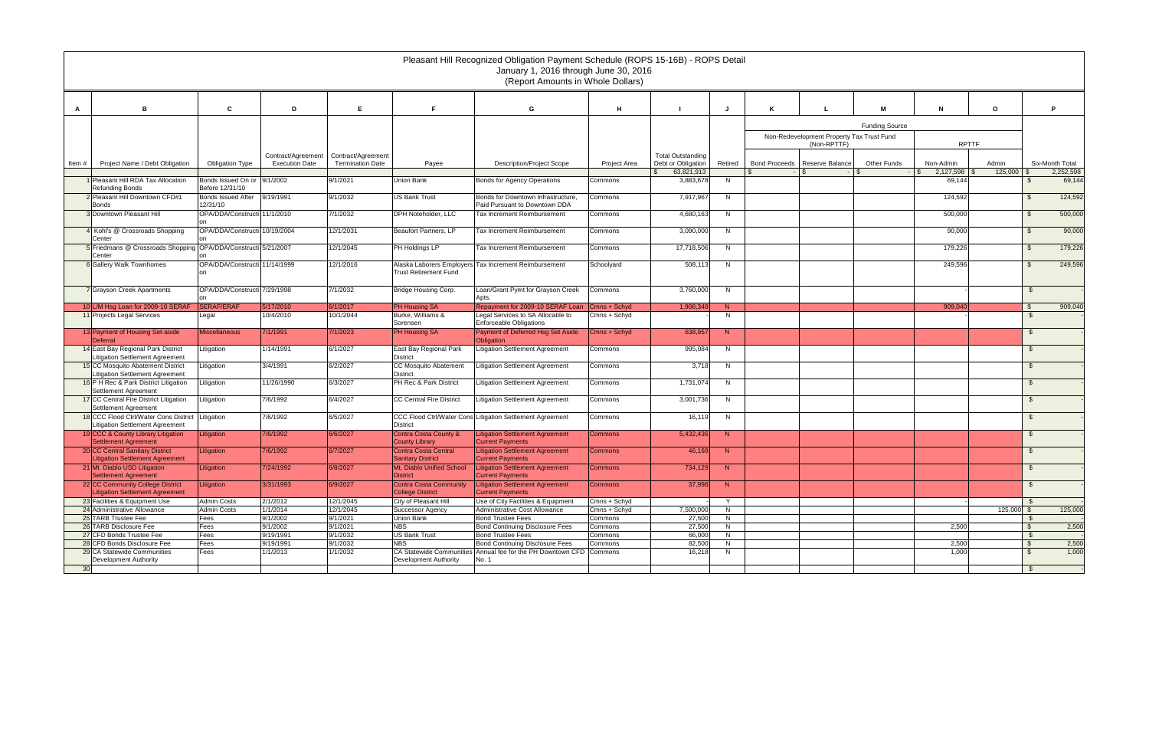|                 |                                                                              |                                          |                       |                         |                                                | Pleasant Hill Recognized Obligation Payment Schedule (ROPS 15-16B) - ROPS Detail<br>January 1, 2016 through June 30, 2016<br>(Report Amounts in Whole Dollars) |                         |                                                  |         |   |                                           |                       |                                |                  |                |                              |
|-----------------|------------------------------------------------------------------------------|------------------------------------------|-----------------------|-------------------------|------------------------------------------------|----------------------------------------------------------------------------------------------------------------------------------------------------------------|-------------------------|--------------------------------------------------|---------|---|-------------------------------------------|-----------------------|--------------------------------|------------------|----------------|------------------------------|
|                 | в                                                                            | C                                        | D                     | E                       | E                                              | G                                                                                                                                                              | н                       |                                                  |         | ĸ |                                           | M                     | N                              | $\circ$          |                | P                            |
|                 |                                                                              |                                          |                       |                         |                                                |                                                                                                                                                                |                         |                                                  |         |   |                                           | <b>Funding Source</b> |                                |                  |                |                              |
|                 |                                                                              |                                          |                       |                         |                                                |                                                                                                                                                                |                         |                                                  |         |   | Non-Redevelopment Property Tax Trust Fund |                       |                                |                  |                |                              |
|                 |                                                                              |                                          |                       |                         |                                                |                                                                                                                                                                |                         |                                                  |         |   | (Non-RPTTF)                               |                       | <b>RPTTF</b>                   |                  |                |                              |
|                 |                                                                              |                                          | Contract/Agreement    | Contract/Agreement      |                                                |                                                                                                                                                                |                         | <b>Total Outstanding</b>                         |         |   |                                           |                       |                                |                  |                |                              |
| Item #          | Project Name / Debt Obligation                                               | <b>Obligation Type</b>                   | <b>Execution Date</b> | <b>Termination Date</b> | Payee                                          | <b>Description/Project Scope</b>                                                                                                                               | Project Area            | Debt or Obligation<br>63,821,913<br>$\mathbb{S}$ | Retired |   | Bond Proceeds   Reserve Balance           | <b>Other Funds</b>    | Non-Admin<br>2,127,598<br>∣ \$ | Admin<br>125,000 |                | Six-Month Total<br>2,252,598 |
|                 | 1 Pleasant Hill RDA Tax Allocation                                           | Bonds Issued On or 9/1/2002              |                       | 9/1/2021                | Union Bank                                     | Bonds for Agency Operations                                                                                                                                    | Commons                 | 3,883,678                                        | N       |   |                                           |                       | 69,144                         |                  | $\mathfrak{L}$ | 69,144                       |
|                 | <b>Refunding Bonds</b>                                                       | Before 12/31/10                          |                       |                         |                                                |                                                                                                                                                                |                         |                                                  |         |   |                                           |                       |                                |                  |                |                              |
|                 | 2 Pleasant Hill Downtown CFD#1                                               | Bonds Issued After 9/19/1991             |                       | 9/1/2032                | US Bank Trust                                  | Bonds for Downtown Infrastructure,                                                                                                                             | Commons                 | 7,917,967                                        | N       |   |                                           |                       | 124,592                        |                  | $\mathfrak{L}$ | 124,592                      |
|                 | <b>Bonds</b><br>3 Downtown Pleasant Hill                                     | 12/31/10<br>OPA/DDA/Constructi 11/1/2010 |                       | 7/1/2032                | DPH Noteholder, LLC                            | Paid Pursuant to Downtown DDA<br>Tax Increment Reimbursement                                                                                                   | Commons                 | 4,680,163                                        | N       |   |                                           |                       | 500,000                        |                  | $\mathfrak{L}$ | 500,000                      |
|                 |                                                                              |                                          |                       |                         |                                                |                                                                                                                                                                |                         |                                                  |         |   |                                           |                       |                                |                  |                |                              |
|                 | 4 Kohl's @ Crossroads Shopping                                               | OPA/DDA/Constructi 10/19/2004            |                       | 12/1/2031               | Beaufort Partners, LP                          | Tax Increment Reimbursement                                                                                                                                    | Commons                 | 3,090,000                                        | N       |   |                                           |                       | 90,000                         |                  | $\mathfrak{L}$ | 90,000                       |
|                 | Center<br>5 Friedmans @ Crossroads Shopping OPA/DDA/Constructi 5/21/2007     |                                          |                       | 12/1/2045               | PH Holdings LP                                 | Tax Increment Reimbursement                                                                                                                                    | Commons                 | 17,718,506                                       | N       |   |                                           |                       | 179,226                        |                  | $\mathbf{s}$   | 179,226                      |
|                 | Center                                                                       |                                          |                       |                         |                                                |                                                                                                                                                                |                         |                                                  |         |   |                                           |                       |                                |                  |                |                              |
|                 | <b>6</b> Gallery Walk Townhomes                                              | OPA/DDA/Constructi 11/14/1999            |                       | 12/1/2016               | Alaska Laborers Employers                      | <b>Tax Increment Reimbursement</b>                                                                                                                             | Schoolyard              | 508,113                                          | N       |   |                                           |                       | 249,596                        |                  | $\mathfrak{L}$ | 249,596                      |
|                 |                                                                              |                                          |                       |                         | <b>Trust Retirement Fund</b>                   |                                                                                                                                                                |                         |                                                  |         |   |                                           |                       |                                |                  |                |                              |
|                 | 7 Grayson Creek Apartments                                                   | OPA/DDA/Constructi 7/29/1998             |                       | 7/1/2032                | Bridge Housing Corp.                           | Loan/Grant Pymt for Grayson Creek                                                                                                                              | Commons                 | 3,760,000                                        | N       |   |                                           |                       |                                |                  |                |                              |
|                 |                                                                              |                                          |                       |                         |                                                | Apts.                                                                                                                                                          |                         |                                                  |         |   |                                           |                       |                                |                  |                |                              |
|                 | 10 L/M Hsg Loan for 2009-10 SERAF                                            | <b>SERAF/ERAF</b>                        | 5/17/2010             | 6/1/2017                | <b>PH Housing SA</b>                           | Repayment for 2009-10 SERAF Loan                                                                                                                               | Cmns + Schyd            | 1,906,348                                        | N       |   |                                           |                       | 909,040                        |                  | - \$           | 909,040                      |
|                 | 11 Projects Legal Services                                                   | -egal                                    | 10/4/2010             | 10/1/2044               | Burke, Williams &<br>Sorensen                  | Legal Services to SA Allocable to<br><b>Enforceable Obligations</b>                                                                                            | Cmns + Schyd            |                                                  | N       |   |                                           |                       |                                |                  | \$             |                              |
|                 | 13 Payment of Housing Set-aside                                              | <b>Miscellaneous</b>                     | 7/1/1991              | 7/1/2023                | PH Housing SA                                  | Payment of Deferred Hsg Set Aside                                                                                                                              | Cmns + Schyd            | 638,957                                          | N       |   |                                           |                       |                                |                  | - \$           |                              |
|                 | Deferral                                                                     |                                          |                       |                         |                                                | <b>Obligation</b>                                                                                                                                              |                         |                                                  |         |   |                                           |                       |                                |                  |                |                              |
|                 | 14 East Bay Regional Park District<br><b>Litigation Settlement Agreement</b> | .itigation                               | 1/14/1991             | 6/1/2027                | East Bay Regional Park<br><b>District</b>      | <b>Litigation Settlement Agreement</b>                                                                                                                         | Commons                 | 995,084                                          | N       |   |                                           |                       |                                |                  |                |                              |
|                 | 15 CC Mosquito Abatement District                                            | .itigation                               | 3/4/1991              | 6/2/2027                | <b>CC Mosquito Abatement</b>                   | Litigation Settlement Agreement                                                                                                                                | Commons                 | 3,718                                            | N       |   |                                           |                       |                                |                  |                |                              |
|                 | <b>Litigation Settlement Agreement</b>                                       |                                          |                       |                         | District                                       |                                                                                                                                                                |                         |                                                  |         |   |                                           |                       |                                |                  |                |                              |
|                 | 16 P H Rec & Park District Litigation                                        | .itigation                               | 11/26/1990            | 6/3/2027                | PH Rec & Park District                         | Litigation Settlement Agreement                                                                                                                                | Commons                 | 1,731,074                                        | N       |   |                                           |                       |                                |                  | - \$           |                              |
|                 | Settlement Agreement<br>17 CC Central Fire District Litigation               | .itigation                               | 7/6/1992              | 6/4/2027                | <b>CC Central Fire District</b>                | Litigation Settlement Agreement                                                                                                                                | Commons                 | 3,001,736                                        | N       |   |                                           |                       |                                |                  | - \$           |                              |
|                 | Settlement Agreement                                                         |                                          |                       |                         |                                                |                                                                                                                                                                |                         |                                                  |         |   |                                           |                       |                                |                  |                |                              |
|                 | 18 CCC Flood Ctrl/Water Cons District Litigation                             |                                          | 7/6/1992              | 6/5/2027                |                                                | CCC Flood Ctrl/Water Cons Litigation Settlement Agreement                                                                                                      | Commons                 | 16,119                                           | N       |   |                                           |                       |                                |                  |                |                              |
|                 | <b>Litigation Settlement Agreement</b>                                       |                                          | 7/6/1992              | 6/6/2027                | <b>District</b>                                |                                                                                                                                                                |                         |                                                  |         |   |                                           |                       |                                |                  | - \$           |                              |
|                 | 19 CCC & County Library Litigation<br><b>Settlement Agreement</b>            | .itigation                               |                       |                         | Contra Costa County &<br><b>County Library</b> | <b>Litigation Settlement Agreement</b><br><b>Current Payments</b>                                                                                              | Commons                 | 5,432,436                                        | N       |   |                                           |                       |                                |                  |                |                              |
|                 | 20 CC Central Sanitary District                                              | itigation                                | 7/6/1992              | 6/7/2027                | <b>Contra Costa Central</b>                    | <b>Litigation Settlement Agreement</b>                                                                                                                         | Commons                 | 46,169                                           | N       |   |                                           |                       |                                |                  | - \$           |                              |
|                 | <b>Litigation Settlement Agreement</b>                                       |                                          |                       |                         | <b>Sanitary District</b>                       | <b>Current Payments</b>                                                                                                                                        |                         |                                                  |         |   |                                           |                       |                                |                  |                |                              |
|                 | 21 Mt. Diablo USD Litigation<br>Settlement Agreement                         | Litigation                               | 7/24/1992             | 6/8/2027                | Mt. Diablo Unified School<br>District          | <b>Litigation Settlement Agreement</b><br><b>Current Payments</b>                                                                                              | <b>Commons</b>          | 734,129                                          | N       |   |                                           |                       |                                |                  | - S            |                              |
|                 | 22 CC Community College District                                             | Litigation                               | 3/31/1993             | 6/9/2027                | <b>Contra Costa Community</b>                  | <b>Litigation Settlement Agreement</b>                                                                                                                         | <b>Commons</b>          | 37,998                                           | N       |   |                                           |                       |                                |                  | - SS           |                              |
|                 | <b>Litigation Settlement Agreement</b>                                       |                                          |                       |                         | <b>College District</b>                        | <b>Current Payments</b>                                                                                                                                        |                         |                                                  |         |   |                                           |                       |                                |                  |                |                              |
|                 | 23 Facilities & Equipment Use                                                | <b>Admin Costs</b>                       | 2/1/2012              | 12/1/2045               | City of Pleasant Hill                          | Use of City Facilities & Equipment                                                                                                                             | Cmns + Schyd            |                                                  | Y       |   |                                           |                       |                                |                  | \$             |                              |
|                 | 24 Administrative Allowance<br>25 TARB Trustee Fee                           | <b>Admin Costs</b><br>Fees               | 1/1/2014<br>9/1/2002  | 12/1/2045<br>9/1/2021   | <b>Successor Agency</b><br>Union Bank          | Administrative Cost Allowance<br><b>Bond Trustee Fees</b>                                                                                                      | Cmns + Schyd<br>Commons | 7,500,000<br>27,500                              | N<br>N  |   |                                           |                       |                                | $125,000$ \$     | \$             | 125,000                      |
|                 | 26 TARB Disclosure Fee                                                       | Fees                                     | 9/1/2002              | 9/1/2021                | <b>NBS</b>                                     | <b>Bond Continuing Disclosure Fees</b>                                                                                                                         | Commons                 | 27,500                                           | N.      |   |                                           |                       | 2,500                          |                  | \$             | 2,500                        |
|                 | 27 CFD Bonds Trustee Fee                                                     | Fees                                     | 9/19/1991             | 9/1/2032                | <b>US Bank Trust</b>                           | <b>Bond Trustee Fees</b>                                                                                                                                       | Commons                 | 66,000                                           | N       |   |                                           |                       |                                |                  | \$             |                              |
|                 | 28 CFD Bonds Disclosure Fee                                                  | Fees                                     | 9/19/1991             | 9/1/2032                | <b>NBS</b>                                     | <b>Bond Continuing Disclosure Fees</b>                                                                                                                         | Commons                 | 82,500                                           | N.      |   |                                           |                       | 2,500                          |                  | \$             | 2,500                        |
|                 | 29 CA Statewide Communities                                                  | Fees                                     | 1/1/2013              | 1/1/2032                |                                                | CA Statewide Communities Annual fee for the PH Downtown CFD Commons                                                                                            |                         | 16,218                                           | N.      |   |                                           |                       | 1,000                          |                  | - \$           | 1,000                        |
|                 | Development Authority                                                        |                                          |                       |                         | Development Authority                          | No. 1                                                                                                                                                          |                         |                                                  |         |   |                                           |                       |                                |                  |                |                              |
| 30 <sup>1</sup> |                                                                              |                                          |                       |                         |                                                |                                                                                                                                                                |                         |                                                  |         |   |                                           |                       |                                |                  | - \$           |                              |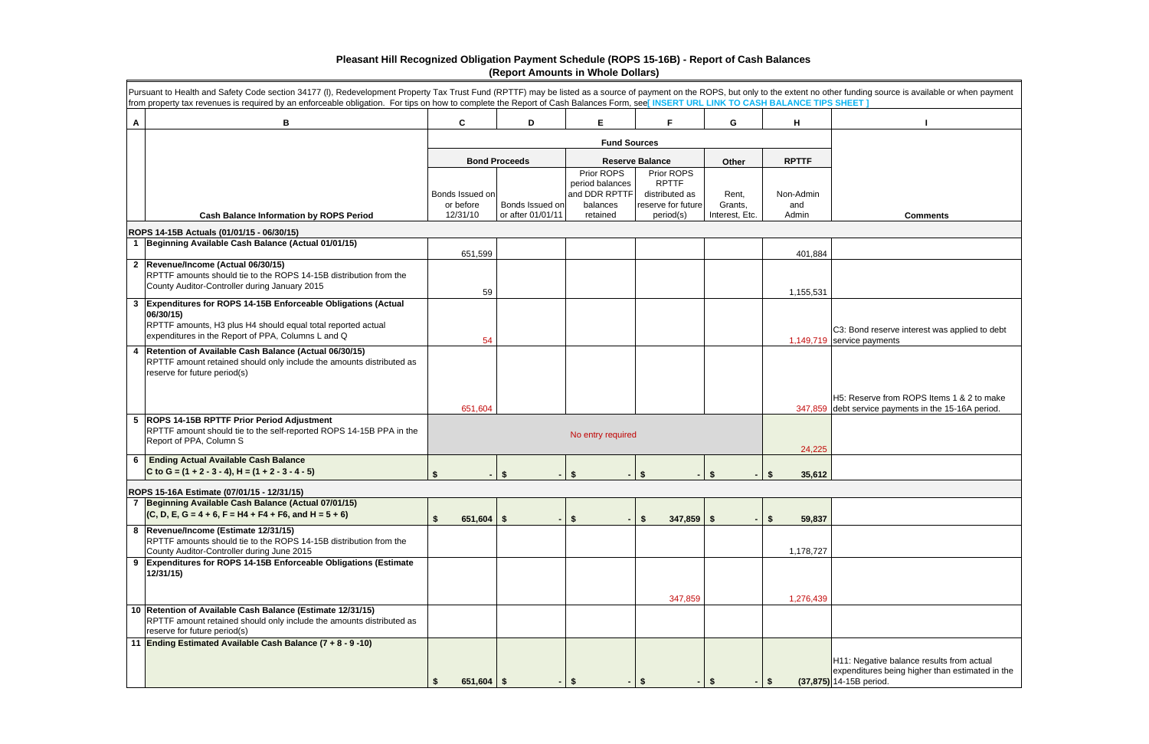|                | Pursuant to Health and Safety Code section 34177 (I), Redevelopment Property Tax Trust Fund (RPTTF) may be listed as a source of payment on the ROPS, but only to the extent no other funding source is available or when paym<br>from property tax revenues is required by an enforceable obligation. For tips on how to complete the Report of Cash Balances Form, see[INSERT URL LINK TO CASH BALANCE TIPS SHEET] |                              |                      |                                                                        |                                                                    |                  |                         |                                                                                                                         |
|----------------|----------------------------------------------------------------------------------------------------------------------------------------------------------------------------------------------------------------------------------------------------------------------------------------------------------------------------------------------------------------------------------------------------------------------|------------------------------|----------------------|------------------------------------------------------------------------|--------------------------------------------------------------------|------------------|-------------------------|-------------------------------------------------------------------------------------------------------------------------|
| A              | В                                                                                                                                                                                                                                                                                                                                                                                                                    | C                            | D                    | E                                                                      | F.                                                                 | G                | н                       |                                                                                                                         |
|                |                                                                                                                                                                                                                                                                                                                                                                                                                      |                              |                      |                                                                        |                                                                    |                  |                         |                                                                                                                         |
|                |                                                                                                                                                                                                                                                                                                                                                                                                                      |                              | <b>Bond Proceeds</b> |                                                                        | <b>Reserve Balance</b>                                             | Other            | <b>RPTTF</b>            |                                                                                                                         |
|                |                                                                                                                                                                                                                                                                                                                                                                                                                      | Bonds Issued on<br>or before | Bonds Issued on      | Prior ROPS<br>period balances<br>and DDR RPTTF<br>balances<br>retained | Prior ROPS<br><b>RPTTF</b><br>distributed as<br>reserve for future | Rent,<br>Grants, | Non-Admin<br>and        |                                                                                                                         |
|                | <b>Cash Balance Information by ROPS Period</b>                                                                                                                                                                                                                                                                                                                                                                       | 12/31/10                     | or after 01/01/11    |                                                                        | period(s)                                                          | Interest, Etc.   | Admin                   | <b>Comments</b>                                                                                                         |
|                | ROPS 14-15B Actuals (01/01/15 - 06/30/15)<br>1 Beginning Available Cash Balance (Actual 01/01/15)                                                                                                                                                                                                                                                                                                                    |                              |                      |                                                                        |                                                                    |                  |                         |                                                                                                                         |
|                |                                                                                                                                                                                                                                                                                                                                                                                                                      | 651,599                      |                      |                                                                        |                                                                    |                  | 401,884                 |                                                                                                                         |
|                | 2 Revenue/Income (Actual 06/30/15)<br>RPTTF amounts should tie to the ROPS 14-15B distribution from the<br>County Auditor-Controller during January 2015                                                                                                                                                                                                                                                             | 59                           |                      |                                                                        |                                                                    |                  | 1,155,531               |                                                                                                                         |
| $3\phantom{a}$ | Expenditures for ROPS 14-15B Enforceable Obligations (Actual<br>06/30/15)<br>RPTTF amounts, H3 plus H4 should equal total reported actual<br>expenditures in the Report of PPA, Columns L and Q                                                                                                                                                                                                                      | 54                           |                      |                                                                        |                                                                    |                  |                         | C3: Bond reserve interest was applied to debt<br>1,149,719 service payments                                             |
|                | 4   Retention of Available Cash Balance (Actual 06/30/15)<br>RPTTF amount retained should only include the amounts distributed as<br>reserve for future period(s)                                                                                                                                                                                                                                                    | 651,604                      |                      |                                                                        |                                                                    |                  |                         | H5: Reserve from ROPS Items 1 & 2 to make<br>347,859 debt service payments in the 15-16A period.                        |
|                | 5 ROPS 14-15B RPTTF Prior Period Adjustment<br>RPTTF amount should tie to the self-reported ROPS 14-15B PPA in the<br>Report of PPA, Column S                                                                                                                                                                                                                                                                        |                              |                      | No entry required                                                      |                                                                    |                  | 24,225                  |                                                                                                                         |
| 6              | <b>Ending Actual Available Cash Balance</b>                                                                                                                                                                                                                                                                                                                                                                          |                              |                      |                                                                        |                                                                    |                  |                         |                                                                                                                         |
|                | C to G = $(1 + 2 - 3 - 4)$ , H = $(1 + 2 - 3 - 4 - 5)$                                                                                                                                                                                                                                                                                                                                                               | \$                           |                      | \$                                                                     | S.                                                                 |                  | 35,612<br>- \$          |                                                                                                                         |
|                | ROPS 15-16A Estimate (07/01/15 - 12/31/15)                                                                                                                                                                                                                                                                                                                                                                           |                              |                      |                                                                        |                                                                    |                  |                         |                                                                                                                         |
|                | 7 Beginning Available Cash Balance (Actual 07/01/15)<br>$(C, D, E, G = 4 + 6, F = H4 + F4 + F6, and H = 5 + 6)$                                                                                                                                                                                                                                                                                                      | \$<br>$651,604$ \$           | $\blacksquare$       | $\sqrt[6]{\frac{1}{2}}$                                                | $347,859$ \$<br>Ŝ.                                                 |                  | $\frac{1}{2}$<br>59,837 |                                                                                                                         |
|                | 8 Revenue/Income (Estimate 12/31/15)<br>RPTTF amounts should tie to the ROPS 14-15B distribution from the<br>County Auditor-Controller during June 2015                                                                                                                                                                                                                                                              |                              |                      |                                                                        |                                                                    |                  | 1,178,727               |                                                                                                                         |
|                | 9 Expenditures for ROPS 14-15B Enforceable Obligations (Estimate<br>12/31/15)                                                                                                                                                                                                                                                                                                                                        |                              |                      |                                                                        |                                                                    |                  |                         |                                                                                                                         |
|                | 10 Retention of Available Cash Balance (Estimate 12/31/15)<br>RPTTF amount retained should only include the amounts distributed as<br>reserve for future period(s)                                                                                                                                                                                                                                                   |                              |                      |                                                                        | 347,859                                                            |                  | 1,276,439               |                                                                                                                         |
|                | 11 Ending Estimated Available Cash Balance (7 + 8 - 9 -10)                                                                                                                                                                                                                                                                                                                                                           | 651,604   \$                 | $\sim$               | \$                                                                     | \$                                                                 |                  | \$                      | H11: Negative balance results from actual<br>expenditures being higher than estimated in the<br>(37,875) 14-15B period. |

## **Pleasant Hill Recognized Obligation Payment Schedule (ROPS 15-16B) - Report of Cash Balances (Report Amounts in Whole Dollars)**

| er funding source is available or when payment<br>SHEET ]                                                      |
|----------------------------------------------------------------------------------------------------------------|
| ı                                                                                                              |
|                                                                                                                |
|                                                                                                                |
|                                                                                                                |
|                                                                                                                |
|                                                                                                                |
| <b>Comments</b>                                                                                                |
|                                                                                                                |
|                                                                                                                |
|                                                                                                                |
|                                                                                                                |
|                                                                                                                |
| C3: Bond reserve interest was applied to debt                                                                  |
| service payments                                                                                               |
|                                                                                                                |
|                                                                                                                |
| H5: Reserve from ROPS Items 1 & 2 to make<br>debt service payments in the 15-16A period.                       |
|                                                                                                                |
|                                                                                                                |
|                                                                                                                |
|                                                                                                                |
|                                                                                                                |
|                                                                                                                |
|                                                                                                                |
|                                                                                                                |
|                                                                                                                |
|                                                                                                                |
|                                                                                                                |
|                                                                                                                |
|                                                                                                                |
| H11: Negative balance results from actual<br>expenditures being higher than estimated in the<br>14-15B period. |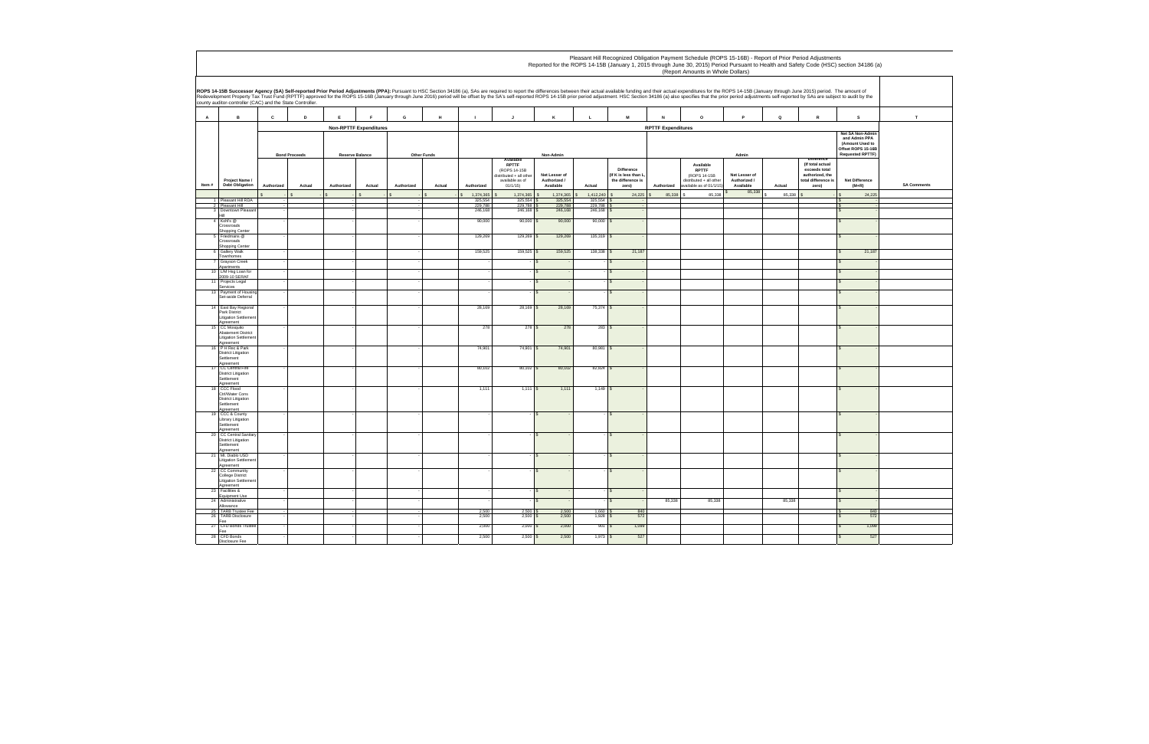|        |                                                                                          |             |                      |                        |                               |                    |        |                    |                                                                                            |                                            |                         |                                                                  | Pleasant Hill Recognized Obligation Payment Schedule (ROPS 15-16B) - Report of Prior Period Adjustments<br>Reported for the ROPS 14-15B (January 1, 2015 through June 30, 2015) Period Pursuant to Health and Safety Code (HSC) section 34186 (a)<br>(Report Amounts in Whole Dollars)                                                                                                                                                                           |                                            |             |                                                                                                           |                                                                                                             |                    |
|--------|------------------------------------------------------------------------------------------|-------------|----------------------|------------------------|-------------------------------|--------------------|--------|--------------------|--------------------------------------------------------------------------------------------|--------------------------------------------|-------------------------|------------------------------------------------------------------|------------------------------------------------------------------------------------------------------------------------------------------------------------------------------------------------------------------------------------------------------------------------------------------------------------------------------------------------------------------------------------------------------------------------------------------------------------------|--------------------------------------------|-------------|-----------------------------------------------------------------------------------------------------------|-------------------------------------------------------------------------------------------------------------|--------------------|
|        | county auditor-controller (CAC) and the State Controller.                                |             |                      |                        |                               |                    |        |                    |                                                                                            |                                            |                         |                                                                  | ROPS 14-15B Successor Agency (SA) Self-reported Prior Period Adjustments (PPA): Pursuant to HSC Section 34186 (a), SAs are required to report the differences between their actual available funding and their actual expendit<br>Redevelopment Property Tax Trust Fund (RPTTF) approved for the ROPS 15-16B (January through June 2016) period will be offset by the SA's self-reported ROPS 14-15B prior period adjustment. HSC Section 34186 (a) also specifi |                                            |             |                                                                                                           |                                                                                                             |                    |
| $\,$ A | в                                                                                        | $\mathbf c$ | D                    | $\mathsf E$            | E                             | G                  | H      | $\mathbf{I}$       | $\mathbf{J}$                                                                               | κ                                          | $\mathbf L$             | ${\bf M}$                                                        | N<br>$\mathsf{o}\,$                                                                                                                                                                                                                                                                                                                                                                                                                                              | P                                          | $\mathsf Q$ | ${\mathbf R}$                                                                                             | s                                                                                                           | T                  |
|        |                                                                                          |             |                      |                        | <b>Non-RPTTF Expenditures</b> |                    |        |                    |                                                                                            |                                            |                         |                                                                  | <b>RPTTF Expenditures</b>                                                                                                                                                                                                                                                                                                                                                                                                                                        |                                            |             |                                                                                                           |                                                                                                             |                    |
|        |                                                                                          |             | <b>Bond Proceeds</b> | <b>Reserve Balance</b> |                               | <b>Other Funds</b> |        |                    |                                                                                            | Non-Admin                                  |                         |                                                                  |                                                                                                                                                                                                                                                                                                                                                                                                                                                                  | Admin                                      |             |                                                                                                           | <b>Vet SA Non-Admi</b><br>and Admin PPA<br>(Amount Used to<br>Offset ROPS 15-16B<br><b>Requested RPTTF)</b> |                    |
| Item#  | Project Name /<br><b>Debt Obligation</b>                                                 | Authorized  | Actual               | Authorized             | Actual                        | Authorized         | Actual | Authorized         | Available<br>RPTTF<br>(ROPS 14-15B<br>distributed + all othe<br>available as of<br>01/1/15 | Net Lesser of<br>Authorized /<br>Available | Actual                  | Difference<br>(If K is less than L<br>the difference is<br>zero) | Available<br>RPTTF<br>(ROPS 14-15B<br>distributed + all other<br>Authorized<br>available as of 01/1/15)                                                                                                                                                                                                                                                                                                                                                          | Net Lesser of<br>Authorized /<br>Available | Actual      | <b>Difference</b><br>(If total actual<br>exceeds total<br>authorized, the<br>total difference i:<br>zero) | Net Difference<br>$(M+R)$                                                                                   | <b>SA Comments</b> |
|        |                                                                                          |             |                      |                        | $\mathsf{s}$                  |                    |        | 1,374,365          | $1,374,365$ \$                                                                             | 1,374,365                                  | $1,412,240$ \$          | 24,225                                                           | 85,338 \$<br>85,338                                                                                                                                                                                                                                                                                                                                                                                                                                              | 85,338                                     | 85,338 \$   |                                                                                                           | 24,225                                                                                                      |                    |
|        | 1 Pleasant Hill RDA<br>2 Pleasant Hill                                                   |             |                      |                        |                               |                    |        | 325.554<br>229,788 | $325.554$ \$<br>229,788 \$                                                                 | 325.554<br>229,788                         | $325,554$ \$<br>229,788 |                                                                  |                                                                                                                                                                                                                                                                                                                                                                                                                                                                  |                                            |             |                                                                                                           |                                                                                                             |                    |
|        | 3 Downtown Pleasan<br>Hill                                                               |             |                      |                        |                               |                    |        | 246,168            | $246,168$ \$                                                                               | 246,168                                    | $246,168$ \$            |                                                                  |                                                                                                                                                                                                                                                                                                                                                                                                                                                                  |                                            |             |                                                                                                           |                                                                                                             |                    |
|        | 4 Kohl's @<br>Crossroads                                                                 |             |                      |                        |                               |                    |        | 90,000             | $90,000$ \$                                                                                | 90,000                                     | $90,000$ \$             |                                                                  |                                                                                                                                                                                                                                                                                                                                                                                                                                                                  |                                            |             |                                                                                                           |                                                                                                             |                    |
|        | Shopping Center<br>5 Friedmans @<br>Crossroads                                           |             |                      |                        |                               |                    |        | 129,269            | 129,269 \$                                                                                 | 129,269                                    | 135,319 \$              |                                                                  |                                                                                                                                                                                                                                                                                                                                                                                                                                                                  |                                            |             |                                                                                                           |                                                                                                             |                    |
|        | Shopping Center<br>6 Gallery Walk                                                        |             |                      |                        |                               |                    |        | 159,525            | 159,525 \$                                                                                 | 159,525                                    | $138,338$ \$            | 21,187                                                           |                                                                                                                                                                                                                                                                                                                                                                                                                                                                  |                                            |             |                                                                                                           | 21,187                                                                                                      |                    |
|        | Townhomes<br><b>7</b> Grayson Creek<br>Apartments                                        |             |                      |                        |                               |                    |        |                    |                                                                                            |                                            |                         |                                                                  |                                                                                                                                                                                                                                                                                                                                                                                                                                                                  |                                            |             |                                                                                                           |                                                                                                             |                    |
|        | 10 L/M Hsg Loan fo<br>2009-10 SERAF                                                      |             |                      |                        |                               |                    |        |                    |                                                                                            |                                            |                         | s                                                                |                                                                                                                                                                                                                                                                                                                                                                                                                                                                  |                                            |             |                                                                                                           |                                                                                                             |                    |
|        | 11 Projects Legal                                                                        |             |                      |                        |                               |                    |        |                    |                                                                                            | $\mathbf{s}$                               |                         | $\sqrt{S}$                                                       |                                                                                                                                                                                                                                                                                                                                                                                                                                                                  |                                            |             |                                                                                                           |                                                                                                             |                    |
|        | Services<br>13 Payment of Housing<br>Set-aside Deferral                                  |             |                      |                        |                               |                    |        |                    |                                                                                            | l S                                        |                         | $\overline{\mathbf{s}}$                                          |                                                                                                                                                                                                                                                                                                                                                                                                                                                                  |                                            |             |                                                                                                           |                                                                                                             |                    |
|        | 14 East Bay Regional<br>Park District<br><b>Litigation Settle</b><br>Agreement           |             |                      |                        |                               |                    |        | 28,169             | $28,169$ \$                                                                                | 28,169                                     | $75,374$ \$             |                                                                  |                                                                                                                                                                                                                                                                                                                                                                                                                                                                  |                                            |             |                                                                                                           |                                                                                                             |                    |
|        | 15 CC Mosquito<br><b>Abatement District</b><br><b>Litigation Settleme</b>                |             |                      |                        |                               |                    |        | 278                | 278S                                                                                       | 278                                        | 283S                    |                                                                  |                                                                                                                                                                                                                                                                                                                                                                                                                                                                  |                                            |             |                                                                                                           |                                                                                                             |                    |
|        | Agreement<br>16 P H Rec & Park<br><b>District Litigation</b><br>Settlement<br>Agreement  |             |                      |                        |                               |                    |        | 74,901             | $74,901$ \$                                                                                | 74,901                                     | 80,981 \$               |                                                                  |                                                                                                                                                                                                                                                                                                                                                                                                                                                                  |                                            |             |                                                                                                           |                                                                                                             |                    |
|        | 17 CC Central Fire<br><b>District Litigation</b><br>Settlement                           |             |                      |                        |                               |                    |        | 80,102             | $80,102$ \$                                                                                | 80,102                                     | 82,824 \$               |                                                                  |                                                                                                                                                                                                                                                                                                                                                                                                                                                                  |                                            |             |                                                                                                           |                                                                                                             |                    |
|        | Agreement<br>18 CCC Flood<br>Ctrl/Water Cons<br><b>District Litigation</b><br>Settlement |             |                      |                        |                               |                    |        | 1,111              | 1.111S                                                                                     | 1,111                                      | $1,149$ \$              |                                                                  |                                                                                                                                                                                                                                                                                                                                                                                                                                                                  |                                            |             |                                                                                                           |                                                                                                             |                    |
|        | Agreement<br>19 CCC & County<br>Library Litigation<br>Settlement<br>Agreement            |             |                      |                        |                               |                    |        |                    |                                                                                            | $\mathbf{s}$                               |                         | l s                                                              |                                                                                                                                                                                                                                                                                                                                                                                                                                                                  |                                            |             |                                                                                                           |                                                                                                             |                    |
|        | 20 CC Central Sanitar<br><b>District Litigation</b><br>Settlement<br>Agreement           |             |                      |                        |                               |                    |        |                    |                                                                                            | $\sim$                                     |                         | $\overline{\mathbf{s}}$                                          |                                                                                                                                                                                                                                                                                                                                                                                                                                                                  |                                            |             |                                                                                                           |                                                                                                             |                    |
|        | 21 Mt. Diablo USD<br><b>Litigation Settler</b><br>Agreement                              |             |                      |                        |                               |                    |        |                    |                                                                                            |                                            |                         | $\mathsf{S}$                                                     |                                                                                                                                                                                                                                                                                                                                                                                                                                                                  |                                            |             |                                                                                                           |                                                                                                             |                    |
|        | 22 CC Community<br>College District<br><b>Litigation Settler</b><br>Agreement            |             |                      |                        |                               |                    |        |                    |                                                                                            |                                            |                         |                                                                  |                                                                                                                                                                                                                                                                                                                                                                                                                                                                  |                                            |             |                                                                                                           |                                                                                                             |                    |
|        | 23 Facilities &<br>Equipment Use                                                         |             |                      |                        |                               |                    |        |                    |                                                                                            |                                            |                         |                                                                  |                                                                                                                                                                                                                                                                                                                                                                                                                                                                  |                                            |             |                                                                                                           |                                                                                                             |                    |
|        | 24 Administrative<br>Allowance                                                           |             |                      |                        |                               |                    |        |                    |                                                                                            |                                            |                         | l s                                                              | 85,338<br>85,338                                                                                                                                                                                                                                                                                                                                                                                                                                                 |                                            | 85,338      |                                                                                                           |                                                                                                             |                    |
|        | 25 TARB Trustee Fee<br>26 TARB Disclosure<br>Fee                                         |             |                      |                        |                               |                    |        | 2,500<br>2,500     | $2,500$ \$<br>2,500                                                                        | $\frac{2,500}{2,500}$                      | $1,660$ \$<br>1,928     | 840<br>572                                                       |                                                                                                                                                                                                                                                                                                                                                                                                                                                                  |                                            |             |                                                                                                           | 840<br>572                                                                                                  |                    |
|        | 27 CFD Bonds Trustee<br><u>Fee</u>                                                       |             |                      |                        |                               |                    |        | 2,000              | $2,000$ \$                                                                                 | 2,000<br>2,500                             | 901S                    | 1,099                                                            |                                                                                                                                                                                                                                                                                                                                                                                                                                                                  |                                            |             |                                                                                                           | 1,099                                                                                                       |                    |
|        | 28 CFD Bonds<br>Disclosure Fee                                                           |             |                      |                        |                               |                    |        | 2,500              | $2,500$ \$                                                                                 |                                            | $1,973$ \$              | 527                                                              |                                                                                                                                                                                                                                                                                                                                                                                                                                                                  |                                            |             |                                                                                                           | 527                                                                                                         |                    |

| ction 34186 (a) |  |
|-----------------|--|